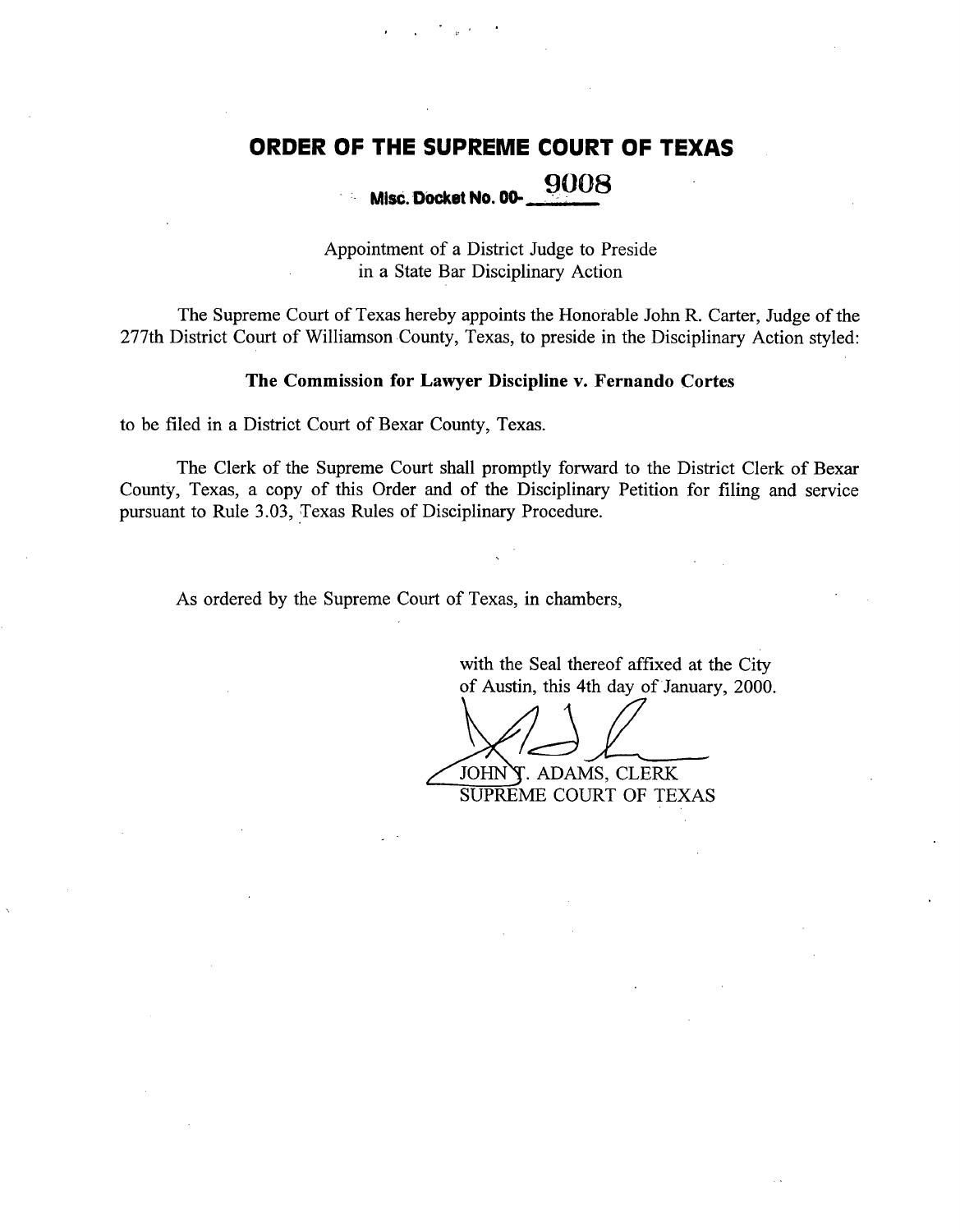# **ORDER OF THE SUPREME** COURT OF TEXAS

# **Misc. Docket No. 00-** 9008

Appointment of a District Judge to Preside in a State Bar Disciplinary Action

The Supreme Court of Texas hereby appoints the Honorable John R. Carter, Judge of the 277th District Court of Williamson County, Texas, to preside in the Disciplinary Action styled:

#### The Commission for Lawyer **Discipline** v. Fernando Cortes

to be filed in a District Court of Bexar County, Texas.

The Clerk of the Supreme Court shall promptly forward to the District Clerk of Bexar County, Texas, a copy of this Order and of the Disciplinary Petition for filing and service pursuant to Rule 3.03, Texas Rules of Disciplinary Procedure.

As ordered by the Supreme Court of Texas, in chambers,

with the Seal thereof affixed at the City of Austin, this 4th day of January, 2000.

JOHNY. ADAMS, CLERK SUPREME COURT OF TEXAS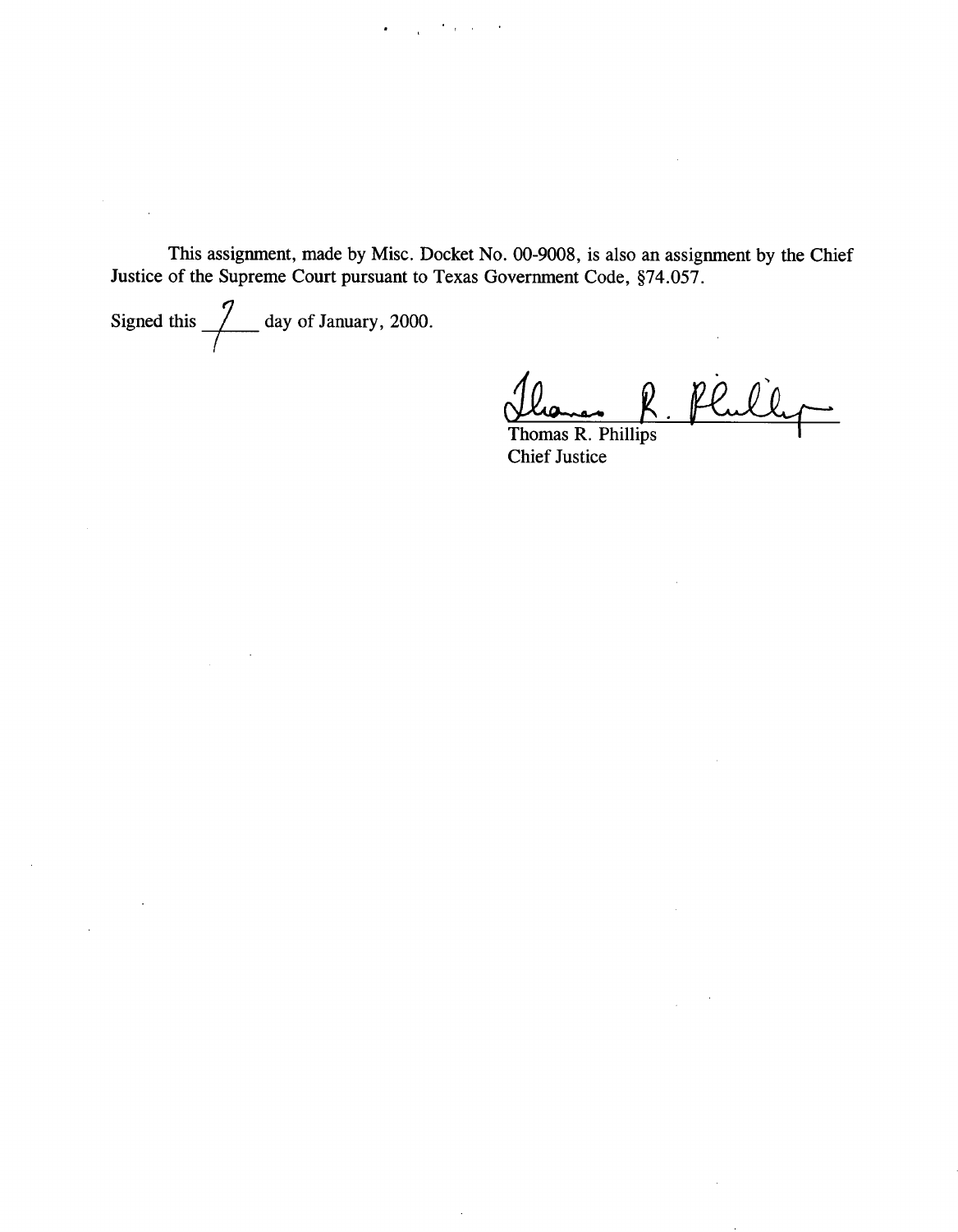**This assignment, made** by Misc. Docket No. 00-9008, **is also an assignment** by the Chief Justice of **the Supreme** Court **pursuant** to Texas Government Code, §74.057.

 $\lambda$ 

 $\bullet$  ,  $\bullet$  ,  $\bullet$  ,  $\bullet$  ,  $\bullet$  ,  $\bullet$ 

Signed this  $\frac{7}{\sqrt{2}}$  day of **January**, 2000.

 $\ddot{\phantom{a}}$ 

 $\sim$ 

 $\sim 10^7$ 

 $\ddot{\phantom{a}}$ 

 $\bar{.}$ 

Phili  $=$ 

 $\bar{\mathcal{A}}$ 

 $\sim$ 

**Thomas R. Phillips** Chief **Justice**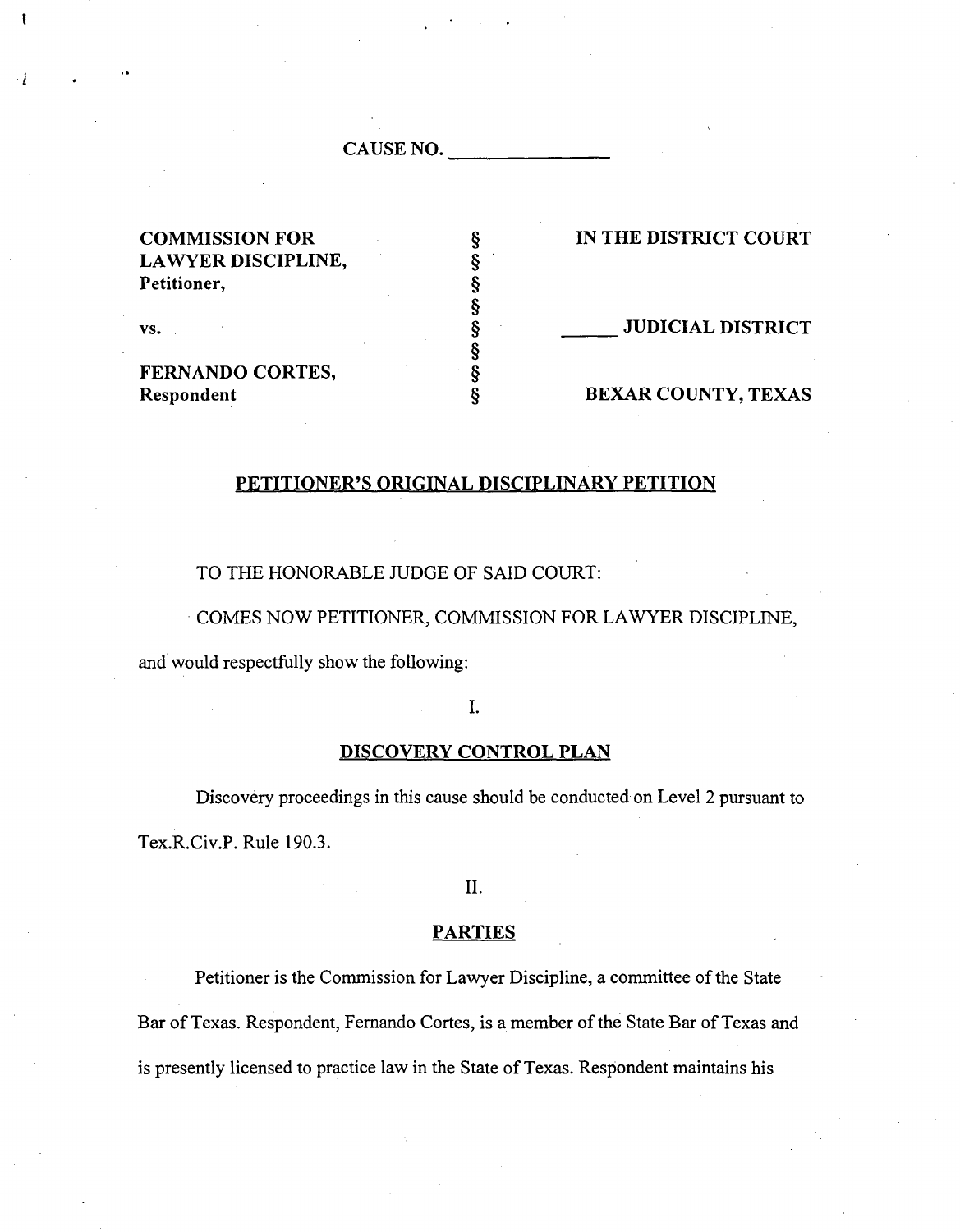CAUSE NO.

| <b>COMMISSION FOR</b>   | IN THE DISTRICT COURT    |
|-------------------------|--------------------------|
| LAWYER DISCIPLINE,      |                          |
| Petitioner,             |                          |
|                         |                          |
| VS.                     | <b>JUDICIAL DISTRICT</b> |
|                         |                          |
| <b>FERNANDO CORTES,</b> |                          |
| Respondent              | BEXAR COUNTY, TEXAS      |

#### PETITIONER'S ORIGINAL DISCIPLINARY PETITION

TO THE HONORABLE JUDGE OF SAID COURT:

COMES NOW PETITIONER, COMMISSION FOR LAWYER DISCIPLINE,

and would respectfully show the following:

 $\ddot{\phantom{0}}$ 

1.

## DISCOVERY CONTROL PLAN

Discovery proceedings in this cause should be conducted on Level 2 pursuant to Tex.R.Civ.P. Rule 190.3.

II.

#### **PARTIES**

Petitioner is the Commission for Lawyer Discipline, a committee of the State Bar of Texas. Respondent, Fernando Cortes, is a member of the State Bar of Texas and is presently licensed to practice law in the State of Texas. Respondent maintains his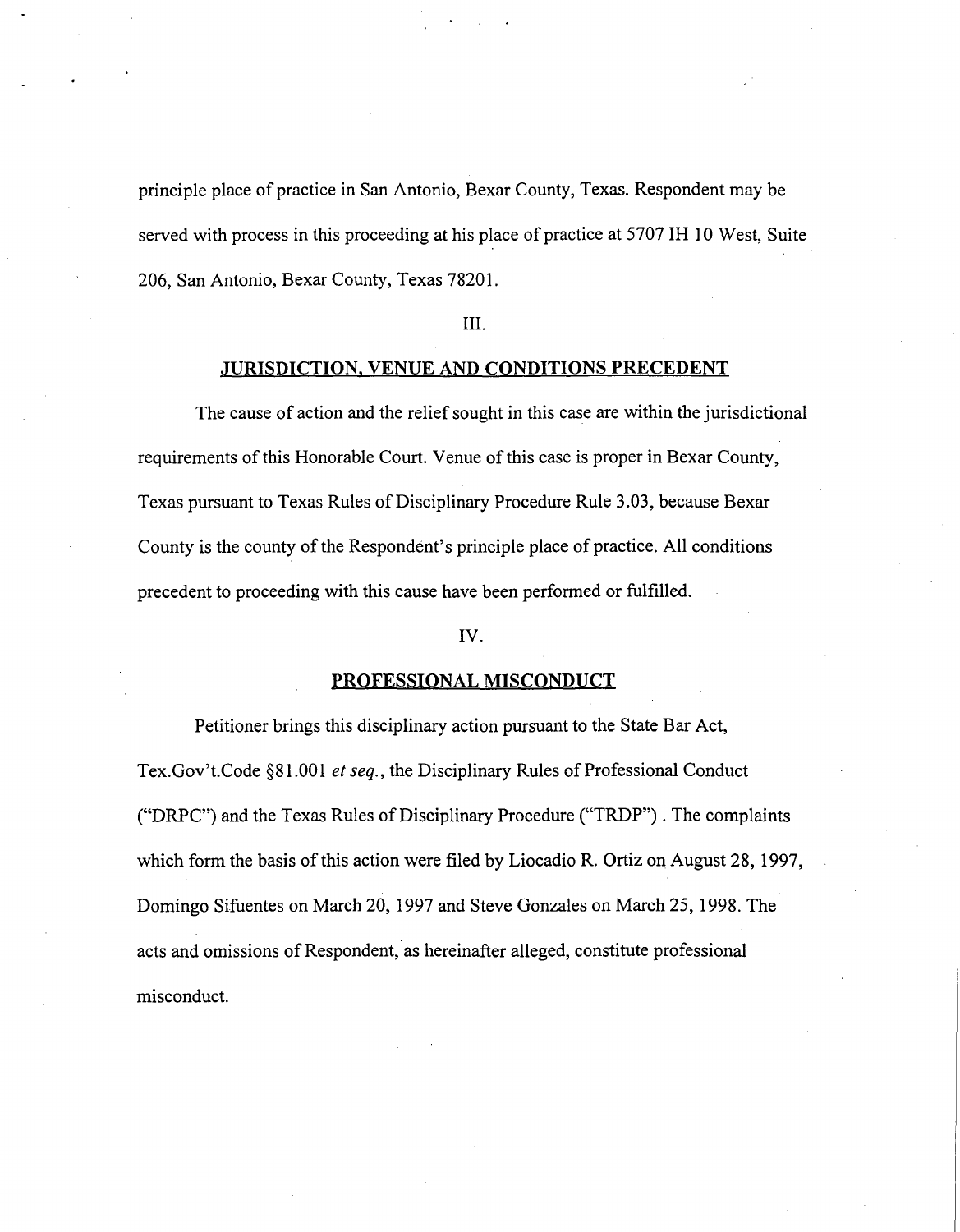principle place of practice in San Antonio, Bexar County, Texas. Respondent may be served with process in this proceeding at his place of practice at 5707 IH 10 West, Suite 206, San Antonio, Bexar County, Texas 78201.

#### III.

#### JURISDICTION, VENUE AND CONDITIONS PRECEDENT

The cause of action and the relief sought in this case are within the jurisdictional requirements of this Honorable Court. Venue of this case is proper in Bexar County, Texas pursuant to Texas Rules of Disciplinary Procedure Rule 3.03, because Bexar County is the county of the Respondent's principle place of practice. All conditions precedent to proceeding with this cause have been performed or fulfilled.

#### IV.

#### PROFESSIONAL MISCONDUCT

Petitioner brings this disciplinary action pursuant to the State Bar Act, Tex.Gov't.Code §81.001 *et seq.,* the Disciplinary Rules of Professional Conduct ("DRPC") and the Texas Rules of Disciplinary Procedure ("TRDP") . The complaints which form the basis of this action were filed by Liocadio R. Ortiz on August 28, 1997, Domingo Sifuentes on March 20, 1997 and Steve Gonzales on March 25, 1998. The acts and omissions of Respondent, as hereinafter alleged, constitute professional misconduct.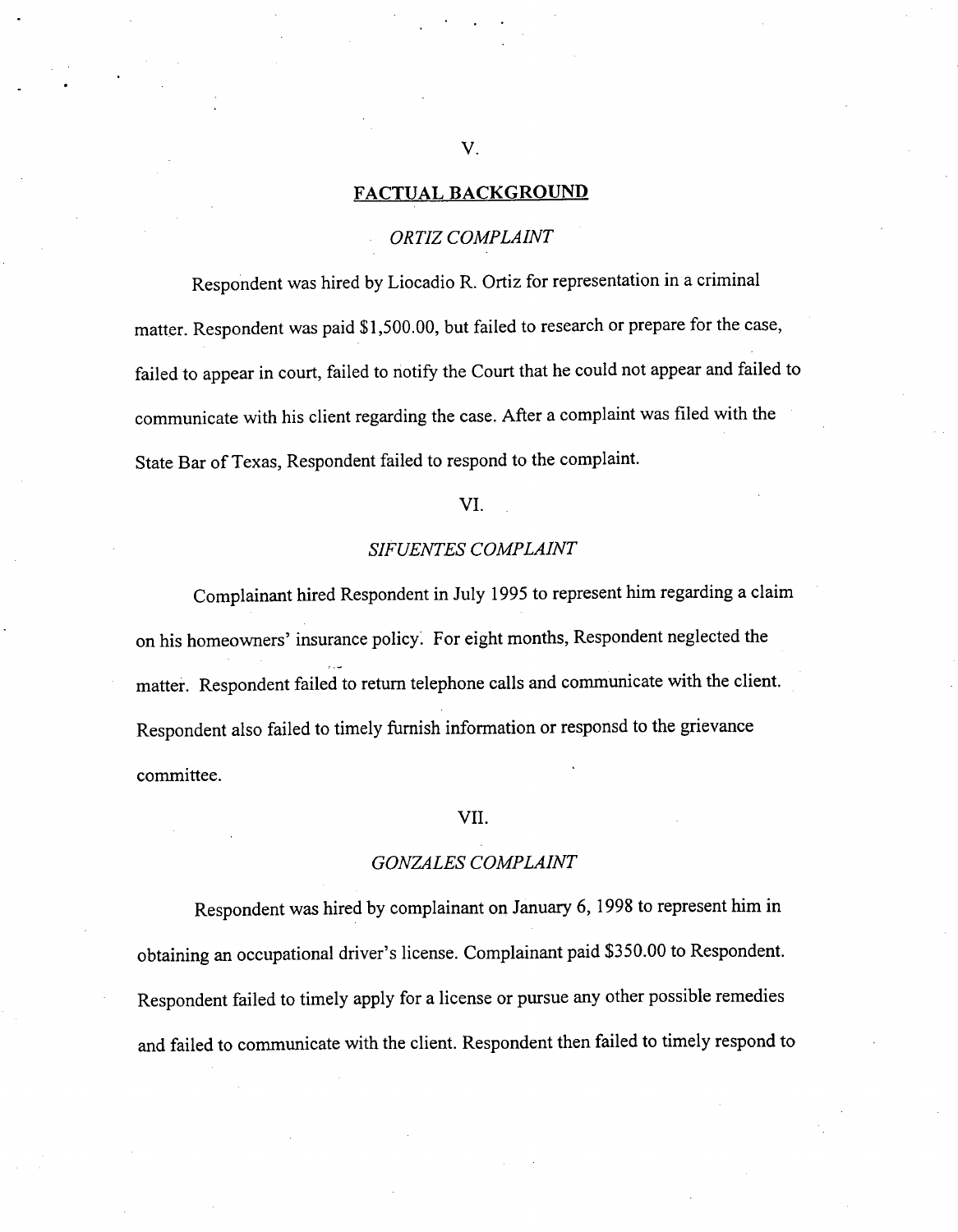#### **FACTUAL BACKGROUND**

### *ORTIZ COMPLAINT*

**Respondent was hired by Liocadio** R. Ortiz for **representation in a criminal matter. Respondent was paid \$1,500.00, but failed to research or prepare for the case, failed to appear in court, failed to notify the Court that he could not appear and failed to communicate with his client regarding the case. After a complaint was filed with the State Bar of Texas, Respondent failed to respond to the complaint.**

#### VI.

#### *SIFUENTES COMPLAINT*

**Complainant hired Respondent in July 1995 to represent him regarding a claim on his homeowners' insurance policy: For eight months, Respondent neglected the matter. Respondent failed to return telephone calls and communicate with the client. Respondent also failed to timely furnish information or responsd to the grievance committee.**

#### VII.

#### *GONZALES COMPLAINT*

**Respondent was hired by complainant on January 6, 1998 to represent him in obtaining an occupational driver's license. Complainant paid \$350.00 to Respondent. Respondent failed to timely apply for a license or pursue any other possible remedies and failed to communicate with the client. Respondent then failed to timely respond to**

V.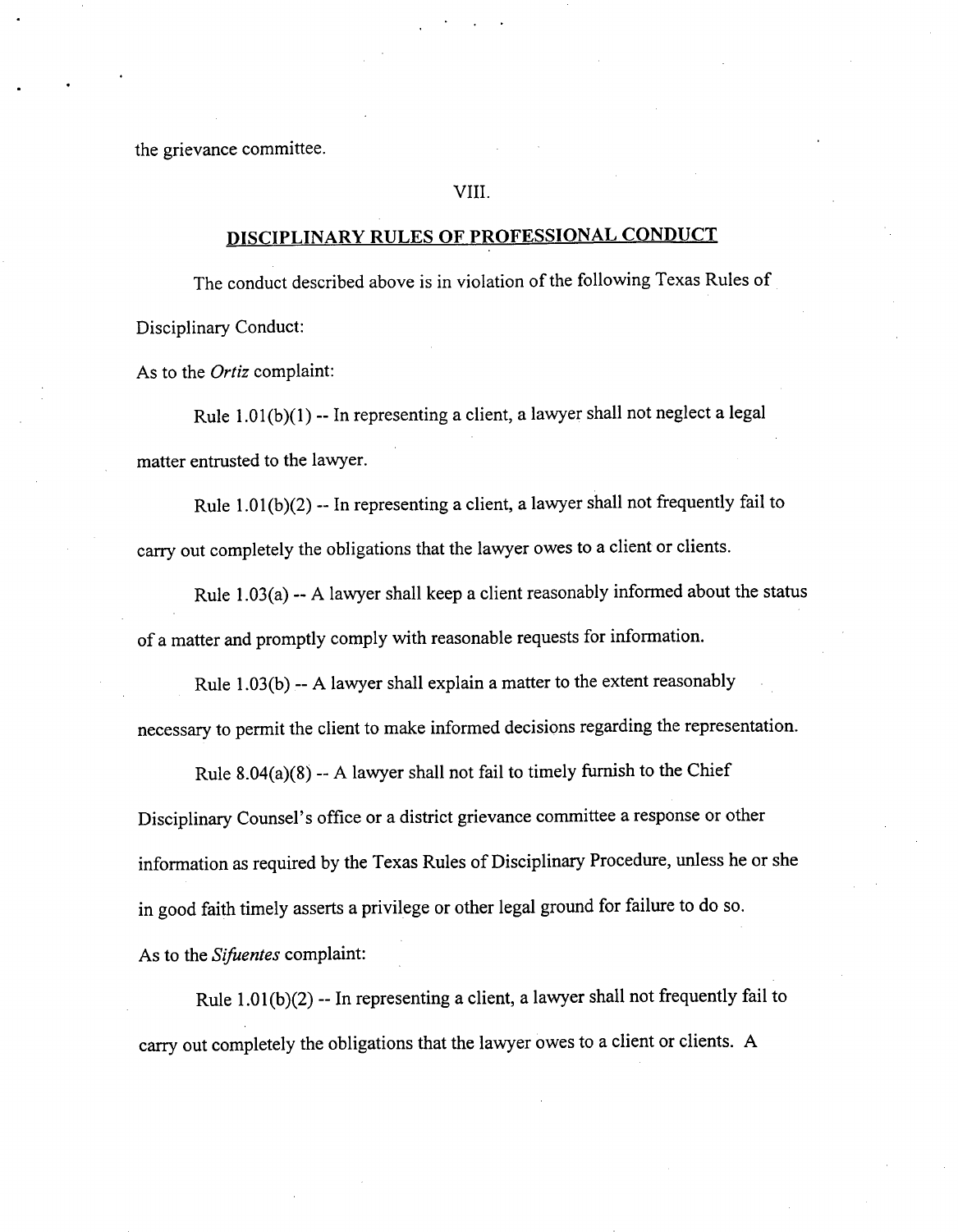the grievance committee.

#### VIII.

## **DISCIPLINARY RULES OF PROFESSIONAL CONDUCT**

**The conduct described above is in violation of the following Texas Rules of Disciplinary Conduct:**

As to the *Ortiz* **complaint:**

**Rule 1.01(b)(1) -- In representing a client, a lawyer shall not neglect a legal matter entrusted to the lawyer.**

**Rule 1.01(b)(2) -- In representing a client, a lawyer shall not frequently fail to carry out completely the obligations that the lawyer owes to a client or clients.**

**Rule 1.03(a) -- A lawyer shall keep a client reasonably informed about the status of a matter and promptly comply with reasonable requests for information.**

**Rule 1.03(b) -- A lawyer shall explain a matter to the extent reasonably necessary to permit the client to make informed decisions regarding the representation.**

**Rule 8.04(a)(8)** -**- A lawyer shall not fail to timely furnish to the Chief Disciplinary Counsel's office or a district grievance committee a response or other information as required by the Texas Rules of Disciplinary Procedure, unless he or she in good faith timely asserts a privilege or other legal ground for failure to do so. As to the** *Sifuentes* **complaint:**

**Rule 1.01(b)(2) -- In representing a client, a lawyer shall not frequently fail to carry out completely the obligations that the lawyer owes to a client or clients. A**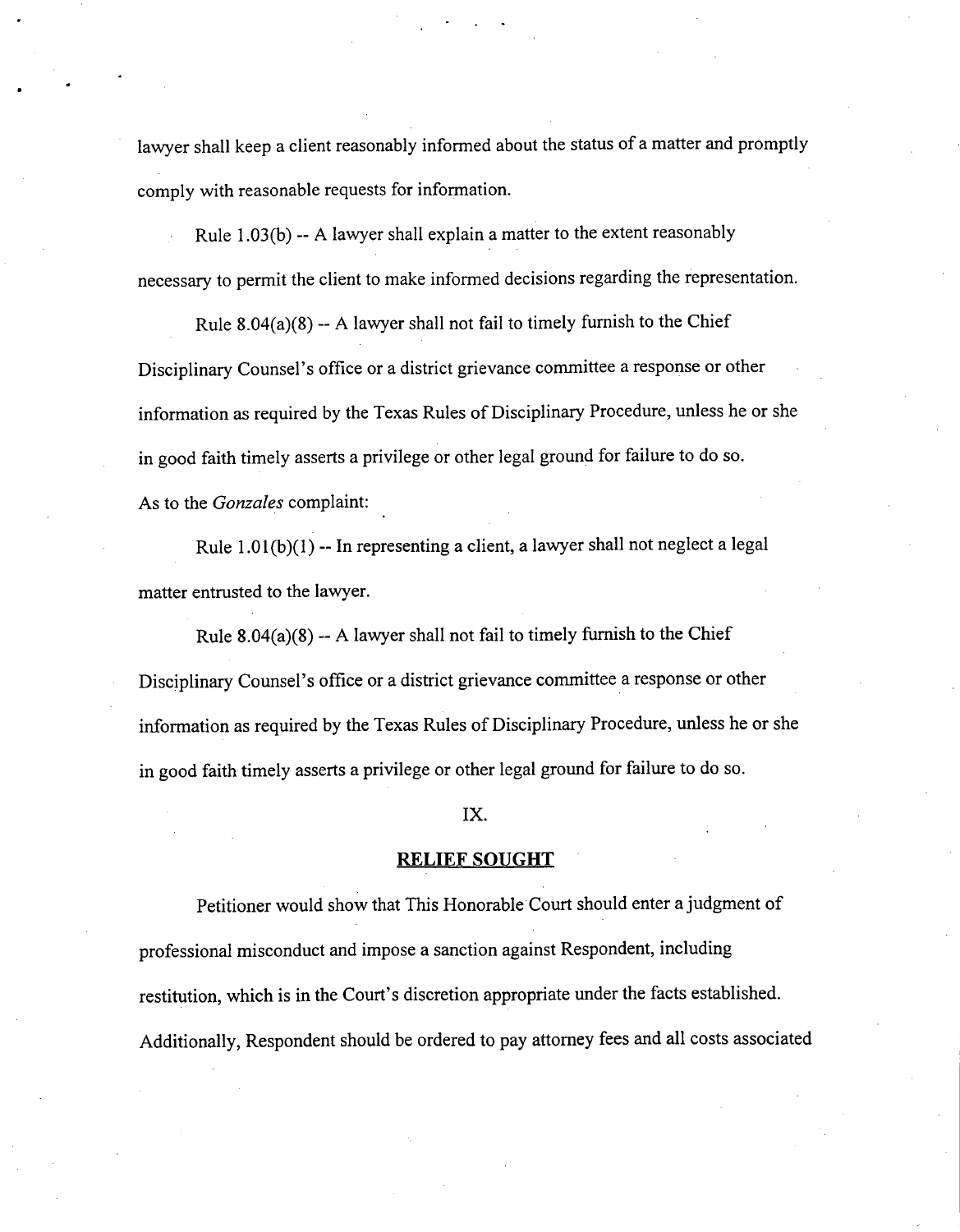lawyer shall keep a client reasonably informed about the status of a matter and promptly comply with reasonable requests for information.

Rule 1.03(b) -- A lawyer shall explain a matter to the extent reasonably necessary to permit the client to make informed decisions regarding the representation.

Rule  $8.04(a)(8)$  -- A lawyer shall not fail to timely furnish to the Chief Disciplinary Counsel's office or a district grievance committee a response or other information as required by the Texas Rules of Disciplinary Procedure, unless he or she in good faith timely asserts a privilege or other legal ground for failure to do so. As to the *Gonzales* complaint:

Rule 1.01(b)(1) -- In representing a client, a lawyer shall not neglect a legal matter entrusted to the lawyer.

Rule  $8.04(a)(8) - A$  lawyer shall not fail to timely furnish to the Chief Disciplinary Counsel's office or a district grievance committee a response or other information as required by the Texas Rules of Disciplinary Procedure, unless he or she in good faith timely asserts a privilege or other legal ground for failure to do so.

#### IX.

#### RELIEF SOUGHT

Petitioner would show that This Honorable Court should enter a judgment of professional misconduct and impose a sanction against Respondent, including restitution, which is in the Court's discretion appropriate under the facts established. Additionally, Respondent should be ordered to pay attorney fees and all costs associated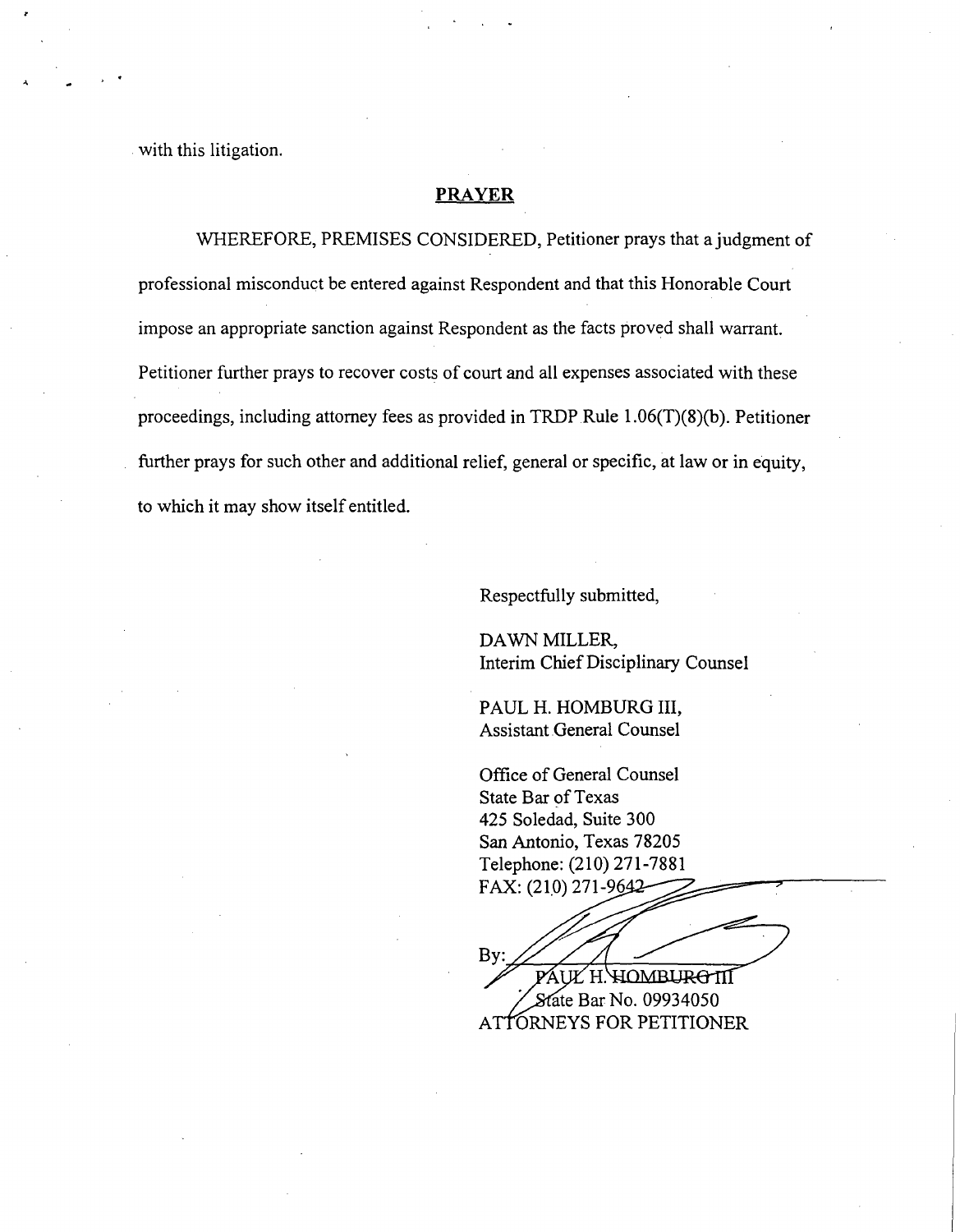with this litigation.

### **PRAYER**

WHEREFORE, PREMISES CONSIDERED, Petitioner prays that a judgment of professional misconduct be entered against Respondent and that this Honorable Court impose an appropriate sanction against Respondent as the facts proved shall warrant. Petitioner further prays to recover costs of court and all expenses associated with these proceedings, including attorney fees as provided in TRDP Rule 1.06(T)(8)(b). Petitioner further prays for such other and additional relief, general or specific, at law or in equity, to which it may show itself entitled.

Respectfully submitted,

DAWN MILLER, **Interim** Chief **Disciplinary Counsel**

PAUL H. **HOMBURG III, Assistant General Counsel**

Office of General Counsel State Bar of Texas 425 Soledad, Suite 300 San Antonio, Texas 78205 Telephone: (210) 271-7881 FAX: (210) 271-96

By: PAUL H. HOMBURG III State Bar No. 09934050 ATTORNEYS FOR PETITIONER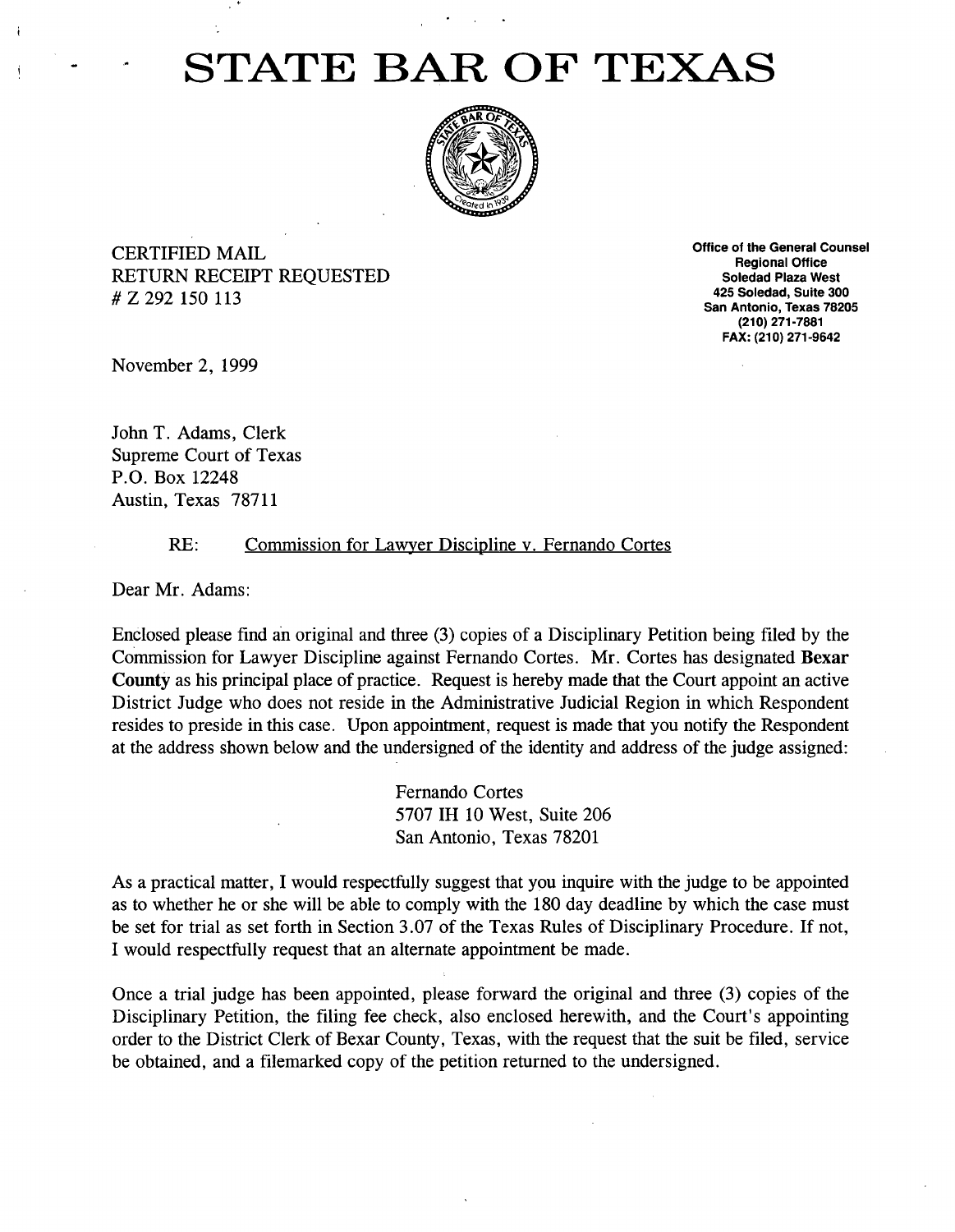# STATE BAR OF TEXAS



CERTIFIED MAIL RETURN RECEIPT REQUESTED # Z 292 150 113

Office of the **General Counsel Regional Office Soledad Plaza West 425 Soledad, Suite 300 San Antonio,** Texas 78205 (210) 271-7881 FAX: (210) 271-9642

November 2, 1999

John T. Adams, Clerk Supreme Court of Texas P.O. Box 12248 Austin, Texas 78711

#### RE: Commission for Lawyer Discipline v. Fernando Cortes

Dear Mr. Adams:

Enclosed please find an original and three (3) copies of a Disciplinary Petition being filed by the Commission for Lawyer Discipline against Fernando Cortes. Mr. Cortes has designated Bexar County as his principal place of practice. Request is hereby made that the Court appoint an active District Judge who does not reside in the Administrative Judicial Region in which Respondent resides to preside in this case. Upon appointment, request is made that you notify the Respondent at the address shown below and the undersigned of the identity and address of the judge assigned:

> **Fernando Cortes** 5707 **IH 10 West, Suite 206 San Antonio, Texas 78201**

As a practical matter, I would respectfully suggest that you inquire with the judge to be appointed as to whether he or she will be able to comply with the 180 day deadline by which the case must be set for trial as set forth in Section 3.07 of the Texas Rules of Disciplinary Procedure. If not, I would respectfully request that an alternate appointment be made.

Once a trial judge has been appointed, please forward the original and three (3) copies of the Disciplinary Petition, the filing fee check, also enclosed herewith, and the Court's appointing order to the District Clerk of Bexar County, Texas, with the request that the suit be filed, service be obtained, and a filemarked copy of the petition returned to the undersigned.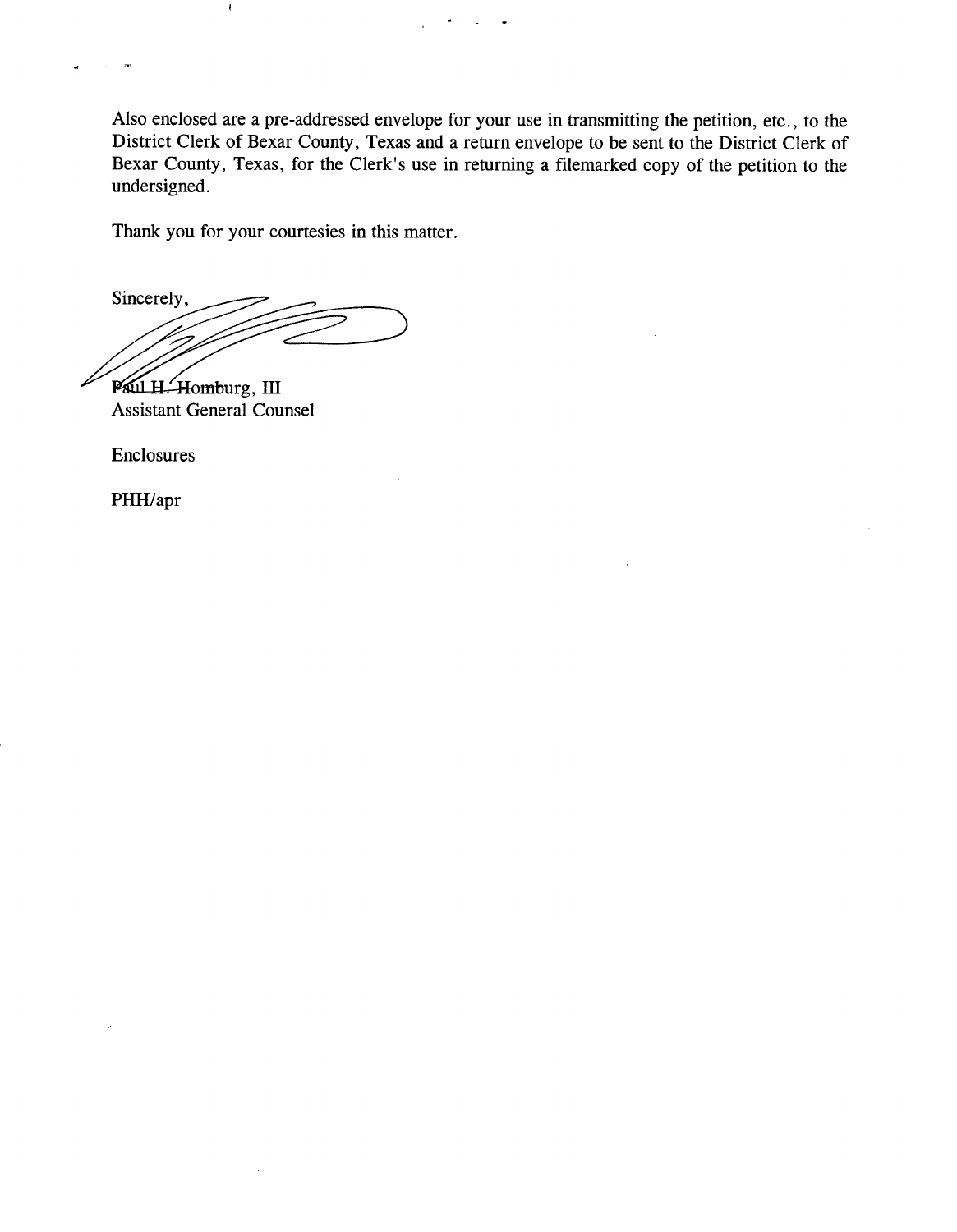Also enclosed are a pre-addressed envelope for your use in transmitting the petition, etc., to the District Clerk of Bexar County, Texas and a return envelope to be sent to the District Clerk of Bexar County, Texas, for the Clerk's use in returning a filemarked copy of the petition to the undersigned.

Thank you for your courtesies in this matter.

Sincerely,

 $\bar{z}$ 

Paul H. Homburg, III Assistant General Counsel

Enclosures

 $\mathbf{r}$ 

PHH/apr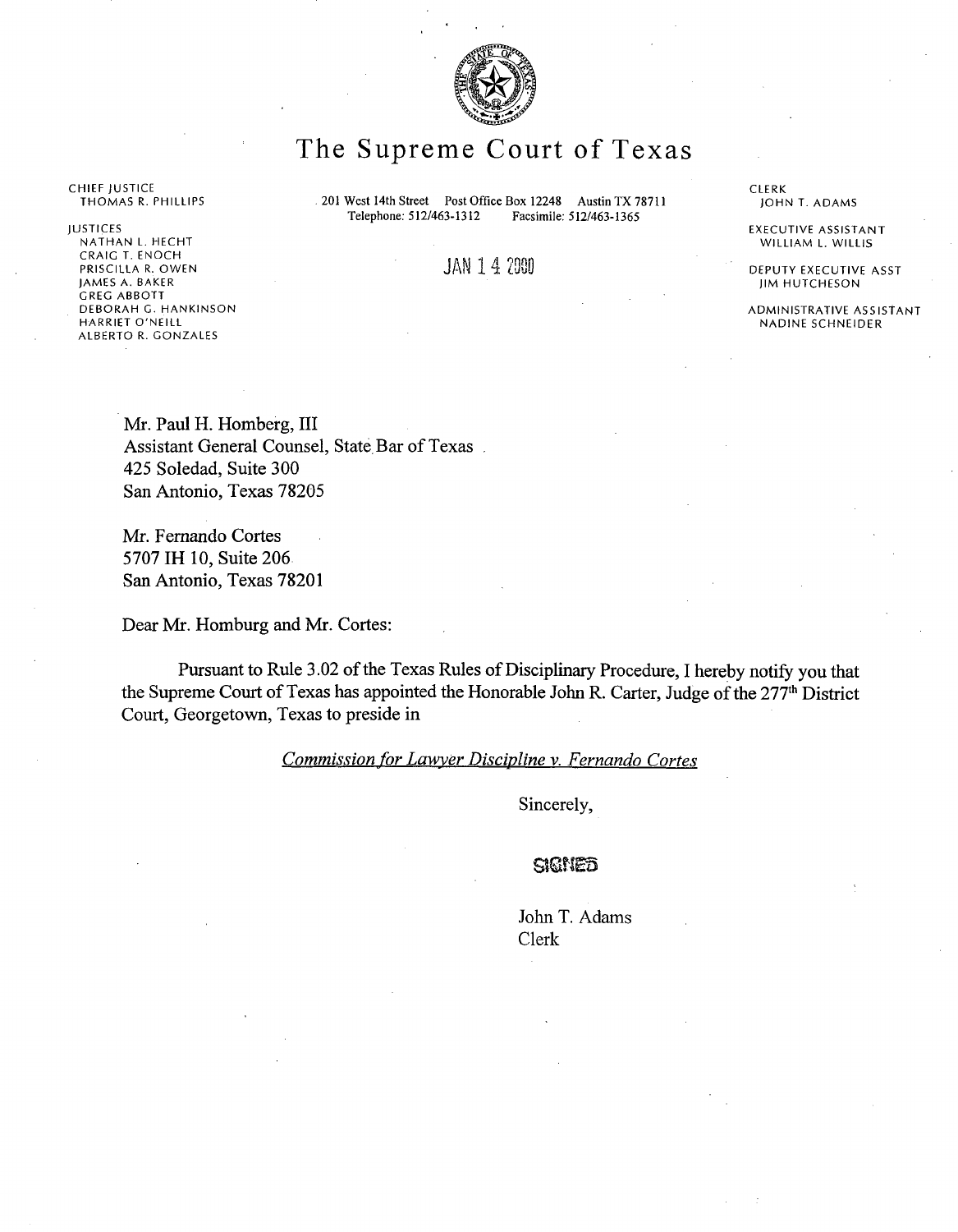

# The Supreme Court of Texas

201 West 14th Street Post Office Box 12248 Austin TX 78711<br>Telephone: 512/463-1312 Facsimile: 512/463-1365 Telephone: 512/463-1312

JAN 1 4 2000

CHIEF JUSTICE<br>THOMAS R. PHILLIPS

JUSTICES NATHAN L. HECHT CRAIG T. ENOCH PRISCILLA R. OWEN **JAMES A. BAKER GREG ABBOTT DEBORAH G.** HANKINSON **HARRIET O'NEILL ALBERTO R.** GONZALES

CLERK JOHN T. ADAMS

EXECUTIVE ASSISTANT WILLIAM L. WILLIS

DEPUTY EXECUTIVE ASST JIM HUTCHESON

ADMINISTRATIVE ASSISTANT NADINE SCHNEIDER

Mr. Paul H. Homberg, III Assistant General Counsel, State Bar of Texas. 425 Soledad, Suite 300 San Antonio, Texas 78205

**Mr. Fernando Cortes** 5707 **IH 10, Suite 206 San Antonio, Texas 78201**

Dear Mr. Homburg and Mr. Cortes:

Pursuant to Rule 3.02 of the Texas Rules of Disciplinary Procedure, I hereby notify you that the Supreme Court of Texas has appointed the Honorable John R. Carter, Judge of the 277<sup>th</sup> District Court, Georgetown, Texas to preside in

*Commission for Lawyer Discipline v. Fernando Cortes*

Sincerely,

#### SIGNED

John T. Adams Clerk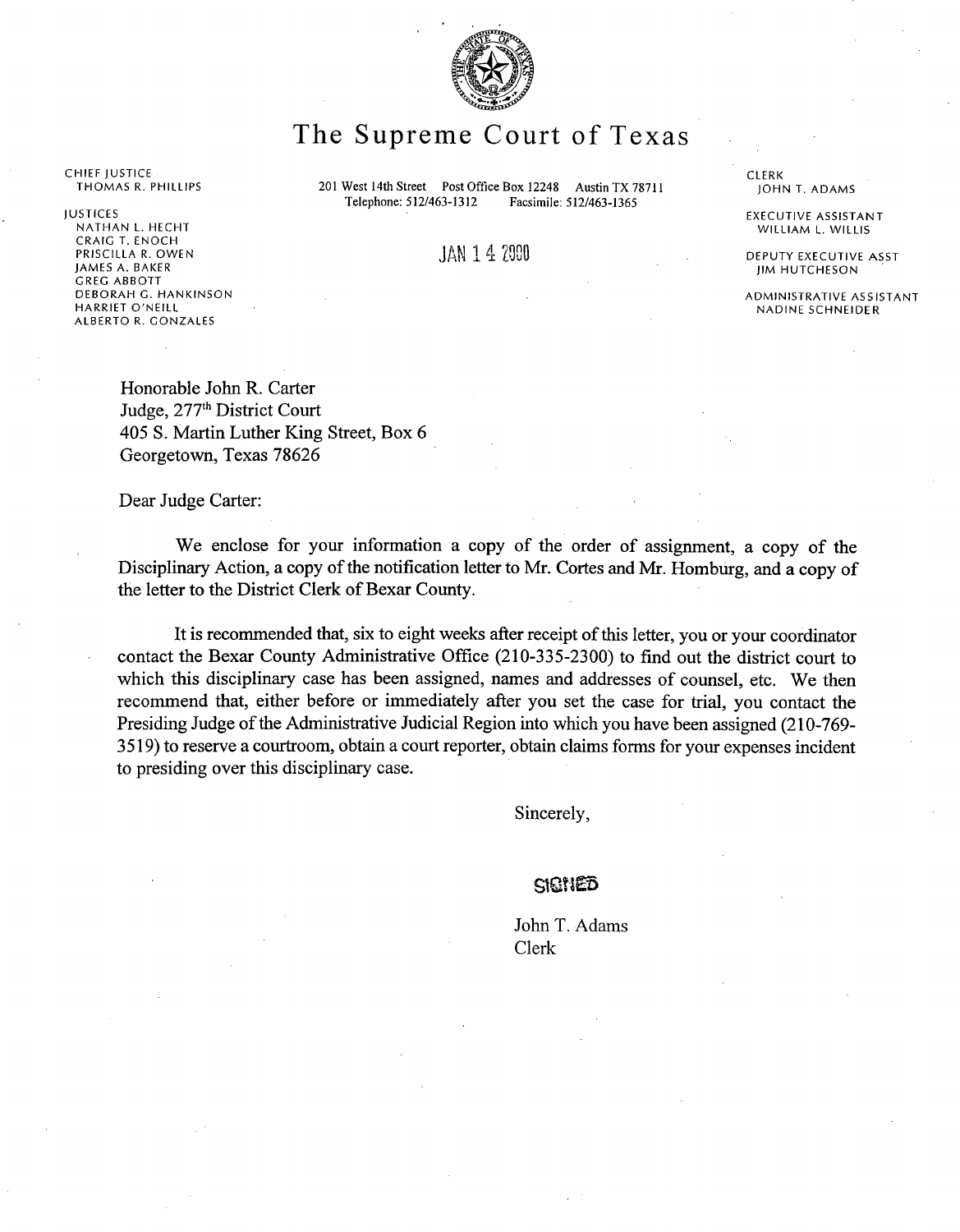

# The Supreme Court of Texas

201 West 14th Street Post Office Box 12248 Austin TX 78711<br>Telephone: 512/463-1312 Facsimile: 512/463-1365 Telephone: 512/463-1312

CHIEF JUSTICE **THOMAS R. PHILLIPS**

JUSTICES NATHAN L. HECHT CRAIG T. ENOCH PRISCILLA R. OWEN JAMES A. BAKER GREG ABBOTT DEBORAH G. HANKINSON HARRIET O'NEILL ALBERTO R. GONZALES

JAN 1 4 2000

**Honorable John R. Carter** Judge, 277<sup>th</sup> District Court **405 S. Martin Luther King Street, Box 6 Georgetown, Texas 78626**

Dear Judge Carter:

We enclose for your information a copy of the order of assignment, a copy of the Disciplinary Action, a copy of the notification letter to Mr. Cortes and Mr. Homburg, and a copy of the letter to the District Clerk of Bexar County.

It is recommended that, six to eight weeks after receipt of this letter, you or your coordinator contact the Bexar County Administrative Office (210-335-2300) to find out the district court to which this disciplinary case has been assigned, names and addresses of counsel, etc. We then recommend that, either before or immediately after you set the case for trial, you contact the Presiding Judge of the Administrative Judicial Region into which you have been assigned (210-769- 3519) to reserve a courtroom, obtain a court reporter, obtain claims forms for your expenses incident to presiding over this disciplinary case.

Sincerely,

#### SIGNED

John T. Adams Clerk

CLERK<br>JOHN T. ADAMS

EXECUTIVE ASSISTANT WILLIAM L. WILLIS

DEPUTY EXECUTIVE ASST JIM HUTCHESON

ADMINISTRATIVE ASSISTANT **NADINE SCHNEIDER**